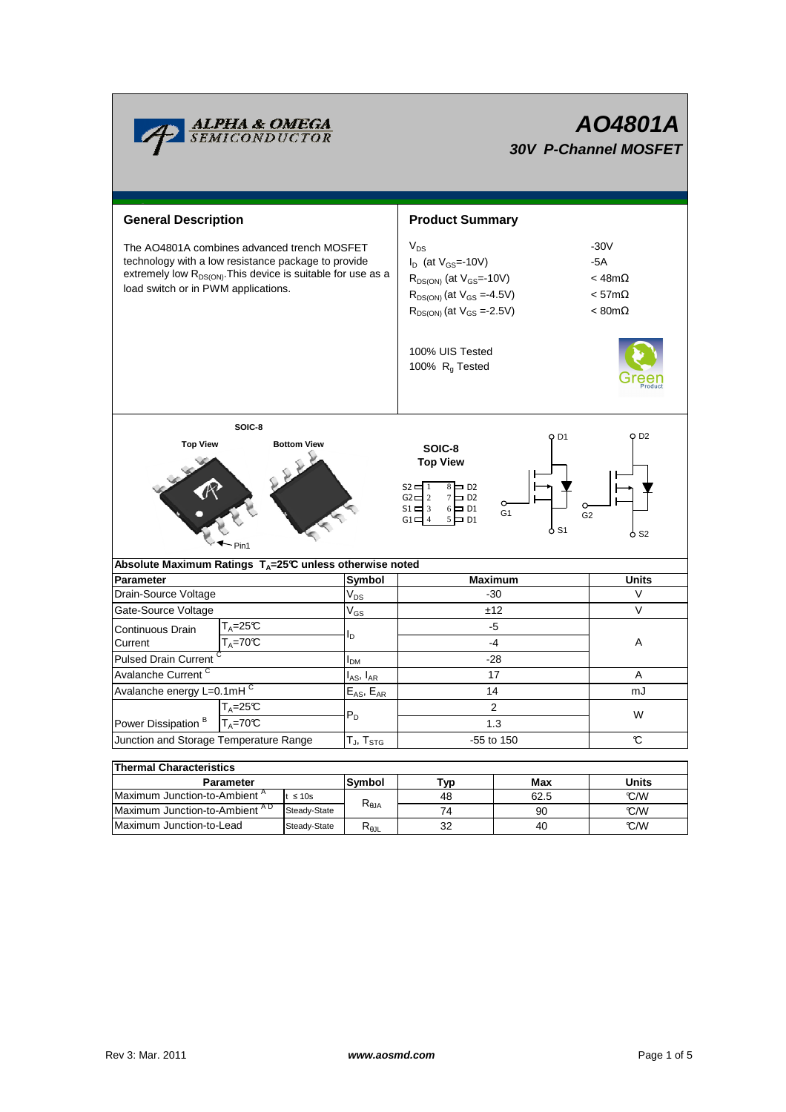|                                                                                                                                                                                                                       | <b>ALPHA &amp; OMEGA</b><br>SEMICONDUCTOR                                                  |                    |                                   | AO4801A<br><b>30V P-Channel MOSFET</b>                                                                                                                                                                                                                        |      |                                                                             |  |  |  |
|-----------------------------------------------------------------------------------------------------------------------------------------------------------------------------------------------------------------------|--------------------------------------------------------------------------------------------|--------------------|-----------------------------------|---------------------------------------------------------------------------------------------------------------------------------------------------------------------------------------------------------------------------------------------------------------|------|-----------------------------------------------------------------------------|--|--|--|
| <b>General Description</b>                                                                                                                                                                                            |                                                                                            |                    |                                   | <b>Product Summary</b>                                                                                                                                                                                                                                        |      |                                                                             |  |  |  |
| The AO4801A combines advanced trench MOSFET<br>technology with a low resistance package to provide<br>extremely low R <sub>DS(ON)</sub> . This device is suitable for use as a<br>load switch or in PWM applications. |                                                                                            |                    |                                   | $V_{DS}$<br>$I_D$ (at $V_{GS}$ =-10V)<br>$R_{DS(ON)}$ (at $V_{GS}$ =-10V)<br>$R_{DS(ON)}$ (at $V_{GS} = 4.5V$ )<br>$R_{DS(ON)}$ (at $V_{GS} = -2.5V$ )                                                                                                        |      | $-30V$<br>-5A<br>$<$ 48m $\Omega$<br>$< 57m\Omega$<br>$< 80 \text{m}\Omega$ |  |  |  |
|                                                                                                                                                                                                                       |                                                                                            |                    |                                   | 100% UIS Tested<br>100% R <sub>q</sub> Tested                                                                                                                                                                                                                 |      |                                                                             |  |  |  |
| <b>Top View</b>                                                                                                                                                                                                       | SOIC-8                                                                                     | <b>Bottom View</b> |                                   | Q D2<br>QD1<br>SOIC-8<br><b>Top View</b><br>$8 \Box$ D <sub>2</sub><br>$52 \square$ 1<br>$G2 \square 2$<br>$7 \square$ D <sub>2</sub><br>⌒<br>$51 \square$ 3<br>$6 \square$ D1<br>G <sub>1</sub><br>G <sub>2</sub><br>$GI = 4$<br>$5 \Box D1$<br>o S1<br>ბ S2 |      |                                                                             |  |  |  |
| Absolute Maximum Ratings $T_A = 25^\circ \text{C}$ unless otherwise noted                                                                                                                                             |                                                                                            |                    |                                   |                                                                                                                                                                                                                                                               |      |                                                                             |  |  |  |
| Parameter                                                                                                                                                                                                             |                                                                                            |                    | Symbol                            | <b>Maximum</b><br>-30                                                                                                                                                                                                                                         |      | <b>Units</b><br>V                                                           |  |  |  |
| Drain-Source Voltage                                                                                                                                                                                                  |                                                                                            |                    | $\mathsf{V}_{\mathsf{DS}}$        |                                                                                                                                                                                                                                                               | V    |                                                                             |  |  |  |
| Gate-Source Voltage                                                                                                                                                                                                   |                                                                                            | $V_{GS}$           | ±12<br>-5                         |                                                                                                                                                                                                                                                               |      |                                                                             |  |  |  |
| Current                                                                                                                                                                                                               | $T_A = 25C$<br>Continuous Drain                                                            |                    | l <sub>D</sub>                    | -4                                                                                                                                                                                                                                                            |      | Α                                                                           |  |  |  |
| $T_A = 70C$<br>Pulsed Drain Current <sup>C</sup>                                                                                                                                                                      |                                                                                            |                    |                                   | -28                                                                                                                                                                                                                                                           |      |                                                                             |  |  |  |
| Avalanche Current <sup>C</sup>                                                                                                                                                                                        |                                                                                            |                    | $I_{DM}$<br>$I_{AS}$ , $I_{AR}$   | 17                                                                                                                                                                                                                                                            |      | Α                                                                           |  |  |  |
| Avalanche energy L=0.1mHC                                                                                                                                                                                             |                                                                                            |                    | $E_{AS}$ , $E_{AR}$               | 14                                                                                                                                                                                                                                                            |      | mJ                                                                          |  |  |  |
| Power Dissipation <sup>B</sup>                                                                                                                                                                                        | $T_A = 25C$<br>$T_A = 70C$                                                                 |                    |                                   | $\overline{2}$<br>1.3                                                                                                                                                                                                                                         |      | W                                                                           |  |  |  |
| Junction and Storage Temperature Range                                                                                                                                                                                |                                                                                            |                    | T <sub>J</sub> , T <sub>STG</sub> | -55 to 150                                                                                                                                                                                                                                                    |      | C                                                                           |  |  |  |
|                                                                                                                                                                                                                       |                                                                                            |                    |                                   |                                                                                                                                                                                                                                                               |      |                                                                             |  |  |  |
| <b>Thermal Characteristics</b>                                                                                                                                                                                        |                                                                                            |                    |                                   |                                                                                                                                                                                                                                                               |      |                                                                             |  |  |  |
| <b>Parameter</b>                                                                                                                                                                                                      |                                                                                            |                    | Symbol                            | Typ                                                                                                                                                                                                                                                           | Max  | <b>Units</b>                                                                |  |  |  |
|                                                                                                                                                                                                                       | Maximum Junction-to-Ambient <sup>A</sup><br>$t \leq 10s$<br>Maximum Junction-to-Ambient AD |                    | $R_{\theta$ JA                    | 48                                                                                                                                                                                                                                                            | 62.5 | °C/W                                                                        |  |  |  |
|                                                                                                                                                                                                                       |                                                                                            | Steady-State       |                                   | 74                                                                                                                                                                                                                                                            | 90   | °C/W                                                                        |  |  |  |

Л

Maximum Junction-to-Lead Steady-State R<sub>θJL</sub> 32 40 C/W

32

40

 $\overline{\phantom{0}}$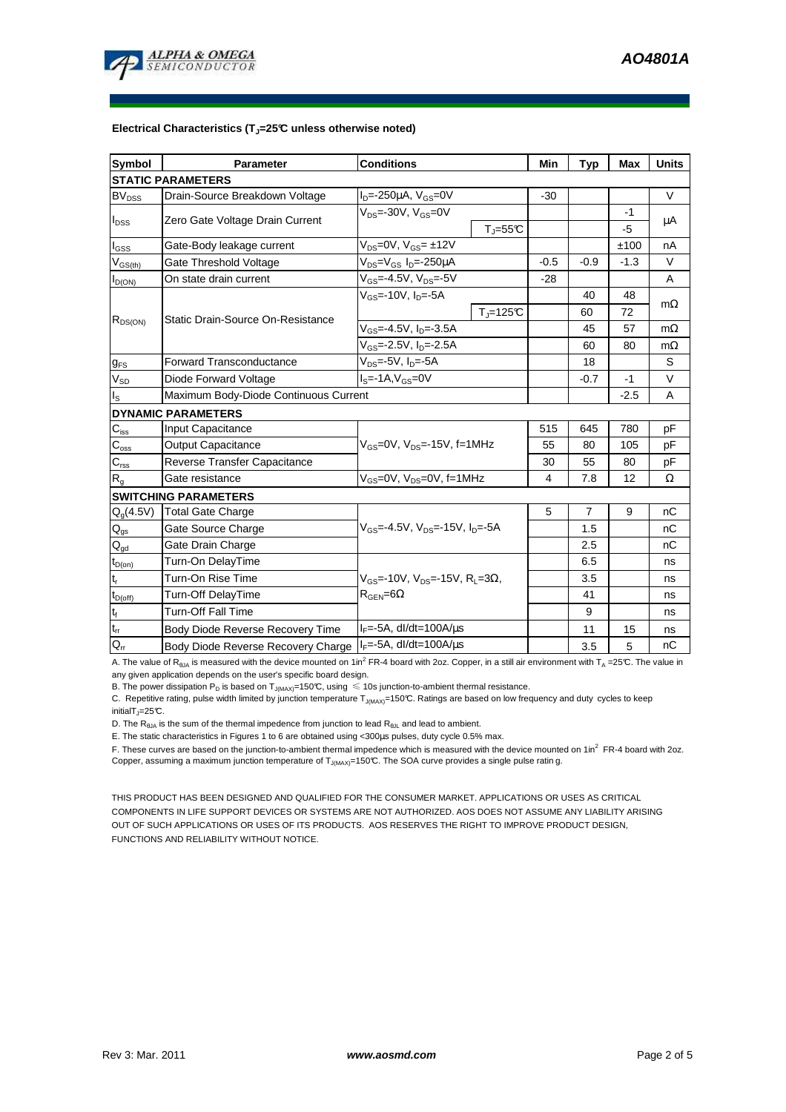#### **Electrical Characteristics (TJ=25°C unless otherwise noted)**

| <b>Symbol</b>               | <b>Conditions</b><br><b>Parameter</b>                                                           |                                                                          |                       | Min    | <b>Typ</b>     | <b>Max</b> | <b>Units</b> |
|-----------------------------|-------------------------------------------------------------------------------------------------|--------------------------------------------------------------------------|-----------------------|--------|----------------|------------|--------------|
|                             | <b>STATIC PARAMETERS</b>                                                                        |                                                                          |                       |        |                |            |              |
| <b>BV<sub>DSS</sub></b>     | Drain-Source Breakdown Voltage                                                                  | $I_{D} = -250 \mu A$ , $V_{GS} = 0V$                                     |                       | $-30$  |                |            | V            |
|                             |                                                                                                 | $V_{DS} = -30V$ , $V_{GS} = 0V$                                          |                       |        |                | $-1$       |              |
| $I_{\text{DSS}}$            | Zero Gate Voltage Drain Current                                                                 |                                                                          | $T_{J} = 55^{\circ}C$ |        |                | $-5$       | μA           |
| $I_{GSS}$                   | Gate-Body leakage current                                                                       | $V_{DS}=0V$ , $V_{GS}=±12V$                                              |                       |        |                | ±100       | nA           |
| $V_{GS(th)}$                | Gate Threshold Voltage                                                                          | $V_{DS} = V_{GS} I_D = -250 \mu A$                                       |                       | $-0.5$ | $-0.9$         | $-1.3$     | V            |
| $I_{D(ON)}$                 | On state drain current                                                                          | $V_{GS} = -4.5V$ , $V_{DS} = -5V$                                        |                       | $-28$  |                |            | A            |
| $R_{DS(ON)}$                |                                                                                                 | $V_{GS}$ =-10V, $I_{D}$ =-5A                                             |                       |        | 40             | 48         |              |
|                             |                                                                                                 |                                                                          | $T_{\rm J}$ =125°C    |        | 60             | 72         | $m\Omega$    |
|                             | Static Drain-Source On-Resistance                                                               | $V_{GS} = -4.5V$ , $I_D = -3.5A$                                         |                       |        | 45             | 57         | $m\Omega$    |
|                             |                                                                                                 | $V_{GS}$ =-2.5V, $I_{D}$ =-2.5A                                          |                       | 60     | 80             | $m\Omega$  |              |
| $g_{FS}$                    | Forward Transconductance                                                                        | $V_{DS} = -5V$ , $I_{D} = -5A$                                           |                       | 18     |                | S          |              |
| $V_{SD}$                    | $IS=-1A, VGS=0V$<br>Diode Forward Voltage                                                       |                                                                          |                       |        | $-0.7$         | $-1$       | V            |
| $I_{\rm S}$                 | Maximum Body-Diode Continuous Current                                                           |                                                                          |                       | $-2.5$ | A              |            |              |
|                             | <b>DYNAMIC PARAMETERS</b>                                                                       |                                                                          |                       |        |                |            |              |
| $\mathbf{C}_{\text{iss}}$   | Input Capacitance                                                                               | $V_{GS}$ =0V, $V_{DS}$ =-15V, f=1MHz                                     |                       | 515    | 645            | 780        | рF           |
| $\mathsf{C}_{\mathsf{oss}}$ | <b>Output Capacitance</b>                                                                       |                                                                          |                       | 55     | 80             | 105        | рF           |
| $\mathbf{C}_{\text{rss}}$   | Reverse Transfer Capacitance                                                                    |                                                                          |                       | 30     | 55             | 80         | рF           |
| $R_{g}$                     | Gate resistance                                                                                 | $V_{GS}$ =0V, $V_{DS}$ =0V, f=1MHz                                       |                       | 4      | 7.8            | 12         | Ω            |
|                             | <b>SWITCHING PARAMETERS</b>                                                                     |                                                                          |                       |        |                |            |              |
| $Q_g(4.5V)$                 | Total Gate Charge                                                                               | $V_{\text{GS}} = -4.5V$ , $V_{\text{DS}} = -15V$ , $I_{\text{DS}} = -5A$ |                       | 5      | $\overline{7}$ | 9          | nC           |
| $Q_{gs}$                    | Gate Source Charge                                                                              |                                                                          |                       |        | 1.5            |            | пC           |
| $\mathbf{Q}_{\text{gd}}$    | Gate Drain Charge                                                                               |                                                                          |                       |        | 2.5            |            | nC           |
| $t_{D(0n)}$                 | Turn-On DelayTime                                                                               |                                                                          |                       |        | 6.5            |            | ns           |
| $\mathsf{t}_\mathsf{r}$     | Turn-On Rise Time<br>$V_{\text{GS}}$ =-10V, $V_{\text{DS}}$ =-15V, R <sub>1</sub> =3 $\Omega$ , |                                                                          |                       |        | 3.5            |            | ns           |
| $t_{D(off)}$                | Turn-Off DelayTime                                                                              | $R_{\text{GEN}} = 6\Omega$                                               |                       |        | 41             |            | ns           |
| $\mathfrak{t}_{\mathsf{f}}$ | <b>Turn-Off Fall Time</b>                                                                       |                                                                          |                       |        | 9              |            | ns           |
| $t_{rr}$                    | $I_F = -5A$ , dl/dt=100A/ $\mu$ s<br>Body Diode Reverse Recovery Time                           |                                                                          |                       |        | 11             | 15         | ns           |
| $Q_{rr}$                    | Body Diode Reverse Recovery Charge                                                              | $I_F = -5A$ , dl/dt=100A/us                                              |                       | 3.5    | 5              | nC         |              |

A. The value of R<sub>θJA</sub> is measured with the device mounted on 1in<sup>2</sup> FR-4 board with 2oz. Copper, in a still air environment with T<sub>A</sub> =25℃. The value in any given application depends on the user's specific board design.

B. The power dissipation P<sub>D</sub> is based on T<sub>J(MAX)</sub>=150°C, using  $\leq 10$ s junction-to-ambient thermal resistance.

C. Repetitive rating, pulse width limited by junction temperature  $T_{J(MAX)}$ =150°C. Ratings are based on low frequency and duty cycles to keep initialT $_{J}$ =25°C.

D. The  $R_{\theta JA}$  is the sum of the thermal impedence from junction to lead  $R_{\theta JL}$  and lead to ambient.

E. The static characteristics in Figures 1 to 6 are obtained using <300µs pulses, duty cycle 0.5% max.

F. These curves are based on the junction-to-ambient thermal impedence which is measured with the device mounted on 1 in<sup>2</sup> FR-4 board with 2oz. Copper, assuming a maximum junction temperature of T<sub>J(MAX)</sub>=150°C. The SOA curve provides a single pulse ratin g.

THIS PRODUCT HAS BEEN DESIGNED AND QUALIFIED FOR THE CONSUMER MARKET. APPLICATIONS OR USES AS CRITICAL COMPONENTS IN LIFE SUPPORT DEVICES OR SYSTEMS ARE NOT AUTHORIZED. AOS DOES NOT ASSUME ANY LIABILITY ARISING OUT OF SUCH APPLICATIONS OR USES OF ITS PRODUCTS. AOS RESERVES THE RIGHT TO IMPROVE PRODUCT DESIGN, FUNCTIONS AND RELIABILITY WITHOUT NOTICE.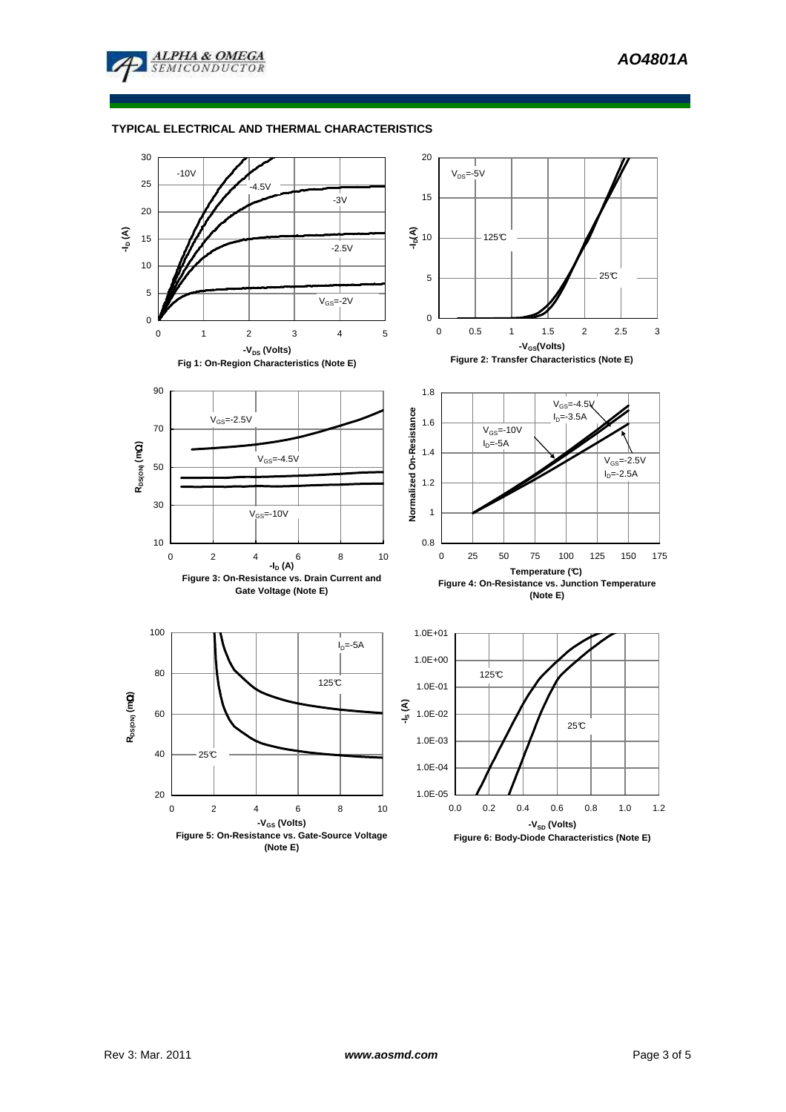

## **TYPICAL ELECTRICAL AND THERMAL CHARACTERISTICS**

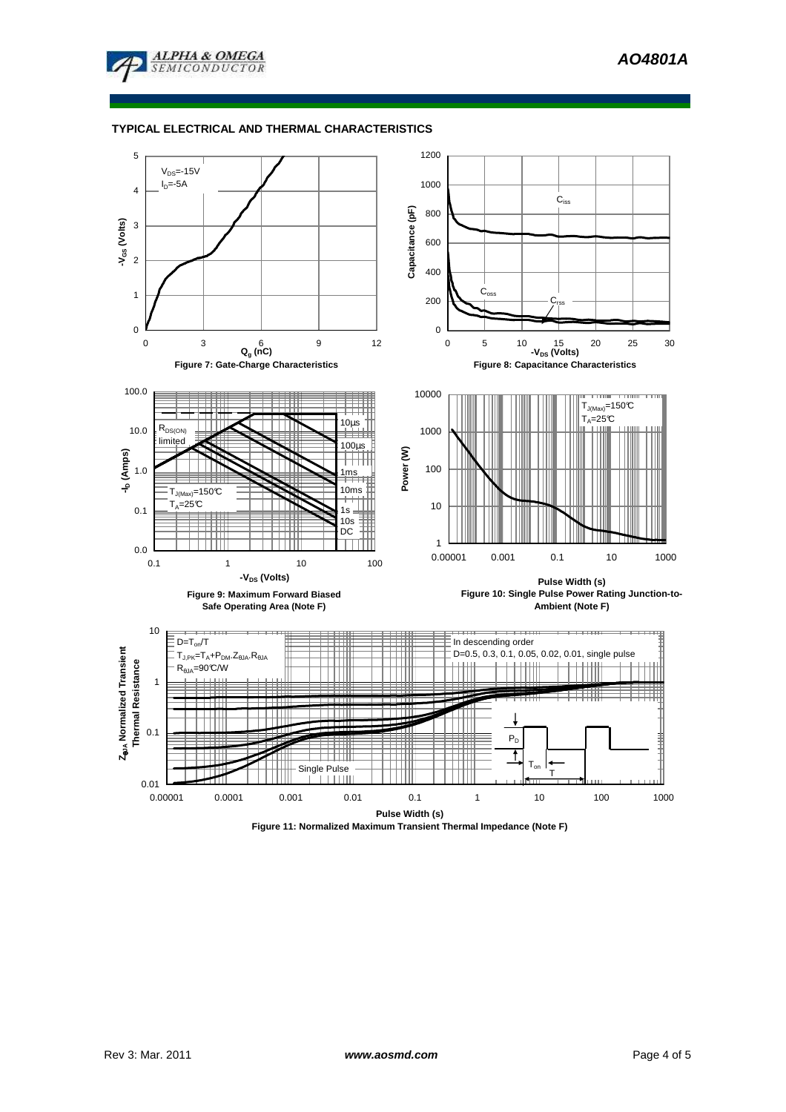

## **TYPICAL ELECTRICAL AND THERMAL CHARACTERISTICS**